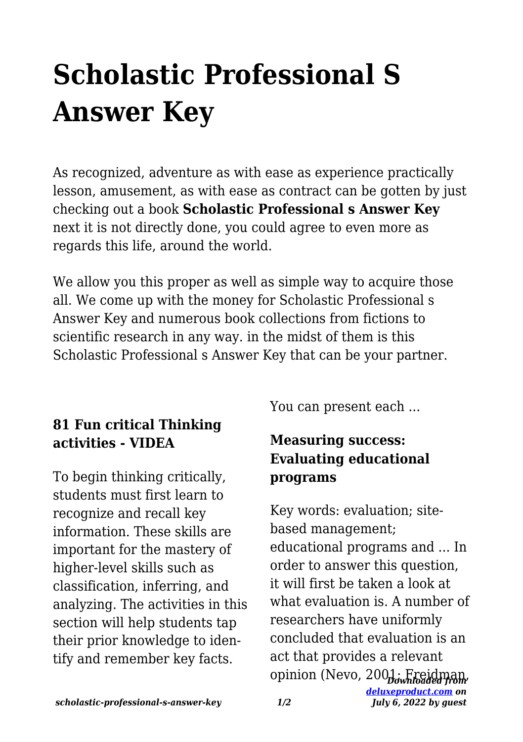## **Scholastic Professional S Answer Key**

As recognized, adventure as with ease as experience practically lesson, amusement, as with ease as contract can be gotten by just checking out a book **Scholastic Professional s Answer Key** next it is not directly done, you could agree to even more as regards this life, around the world.

We allow you this proper as well as simple way to acquire those all. We come up with the money for Scholastic Professional s Answer Key and numerous book collections from fictions to scientific research in any way. in the midst of them is this Scholastic Professional s Answer Key that can be your partner.

## **81 Fun critical Thinking activities - VIDEA**

To begin thinking critically, students must first learn to recognize and recall key information. These skills are important for the mastery of higher-level skills such as classification, inferring, and analyzing. The activities in this section will help students tap their prior knowledge to identify and remember key facts.

You can present each ...

## **Measuring success: Evaluating educational programs**

*Downloaded from* opinion (Nevo, 2001; Freidman,*[deluxeproduct.com](http://deluxeproduct.com) on* Key words: evaluation; sitebased management; educational programs and ... In order to answer this question, it will first be taken a look at what evaluation is. A number of researchers have uniformly concluded that evaluation is an act that provides a relevant